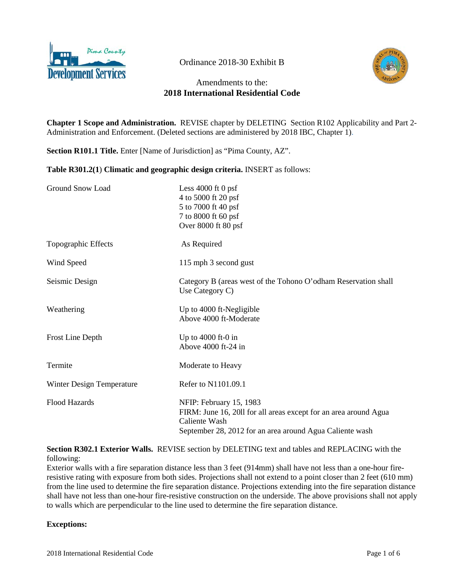

Ordinance 2018-30 Exhibit B



# Amendments to the: **2018 International Residential Code**

**Chapter 1 Scope and Administration.** REVISE chapter by DELETING Section R102 Applicability and Part 2- Administration and Enforcement. (Deleted sections are administered by 2018 IBC, Chapter 1).

**Section R101.1 Title.** Enter [Name of Jurisdiction] as "Pima County, AZ".

**Table R301.2(1**) **Climatic and geographic design criteria.** INSERT as follows:

| Ground Snow Load          | Less $4000$ ft 0 psf<br>4 to 5000 ft 20 psf<br>5 to 7000 ft 40 psf<br>7 to 8000 ft 60 psf<br>Over $8000$ ft $80$ psf                                                     |
|---------------------------|--------------------------------------------------------------------------------------------------------------------------------------------------------------------------|
| Topographic Effects       | As Required                                                                                                                                                              |
| Wind Speed                | 115 mph 3 second gust                                                                                                                                                    |
| Seismic Design            | Category B (areas west of the Tohono O'odham Reservation shall<br>Use Category C)                                                                                        |
| Weathering                | Up to 4000 ft-Negligible<br>Above 4000 ft-Moderate                                                                                                                       |
| Frost Line Depth          | Up to 4000 ft-0 in<br>Above 4000 ft-24 in                                                                                                                                |
| Termite                   | Moderate to Heavy                                                                                                                                                        |
| Winter Design Temperature | Refer to N1101.09.1                                                                                                                                                      |
| <b>Flood Hazards</b>      | NFIP: February 15, 1983<br>FIRM: June 16, 2011 for all areas except for an area around Agua<br>Caliente Wash<br>September 28, 2012 for an area around Agua Caliente wash |

**Section R302.1 Exterior Walls.** REVISE section by DELETING text and tables and REPLACING with the following:

Exterior walls with a fire separation distance less than 3 feet (914mm) shall have not less than a one-hour fireresistive rating with exposure from both sides. Projections shall not extend to a point closer than 2 feet (610 mm) from the line used to determine the fire separation distance. Projections extending into the fire separation distance shall have not less than one-hour fire-resistive construction on the underside. The above provisions shall not apply to walls which are perpendicular to the line used to determine the fire separation distance.

#### **Exceptions:**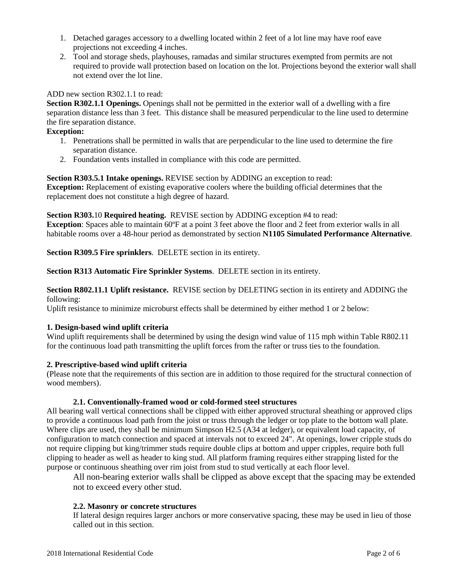- 1. Detached garages accessory to a dwelling located within 2 feet of a lot line may have roof eave projections not exceeding 4 inches.
- 2. Tool and storage sheds, playhouses, ramadas and similar structures exempted from permits are not required to provide wall protection based on location on the lot. Projections beyond the exterior wall shall not extend over the lot line.

### ADD new section R302.1.1 to read:

**Section R302.1.1 Openings.** Openings shall not be permitted in the exterior wall of a dwelling with a fire separation distance less than 3 feet. This distance shall be measured perpendicular to the line used to determine the fire separation distance.

### **Exception:**

- 1. Penetrations shall be permitted in walls that are perpendicular to the line used to determine the fire separation distance.
- 2. Foundation vents installed in compliance with this code are permitted.

#### **Section R303.5.1 Intake openings.** REVISE section by ADDING an exception to read:

**Exception:** Replacement of existing evaporative coolers where the building official determines that the replacement does not constitute a high degree of hazard.

#### **Section R303.**10 **Required heating.** REVISE section by ADDING exception #4 to read:

**Exception**: Spaces able to maintain 60ºF at a point 3 feet above the floor and 2 feet from exterior walls in all habitable rooms over a 48-hour period as demonstrated by section **N1105 Simulated Performance Alternative**.

**Section R309.5 Fire sprinklers**. DELETE section in its entirety.

**Section R313 Automatic Fire Sprinkler Systems**. DELETE section in its entirety.

**Section R802.11.1 Uplift resistance.** REVISE section by DELETING section in its entirety and ADDING the following:

Uplift resistance to minimize microburst effects shall be determined by either method 1 or 2 below:

#### **1. Design-based wind uplift criteria**

Wind uplift requirements shall be determined by using the design wind value of 115 mph within Table R802.11 for the continuous load path transmitting the uplift forces from the rafter or truss ties to the foundation.

### **2. Prescriptive-based wind uplift criteria**

(Please note that the requirements of this section are in addition to those required for the structural connection of wood members).

#### **2.1. Conventionally-framed wood or cold-formed steel structures**

All bearing wall vertical connections shall be clipped with either approved structural sheathing or approved clips to provide a continuous load path from the joist or truss through the ledger or top plate to the bottom wall plate. Where clips are used, they shall be minimum Simpson H2.5 (A34 at ledger), or equivalent load capacity, of configuration to match connection and spaced at intervals not to exceed 24". At openings, lower cripple studs do not require clipping but king/trimmer studs require double clips at bottom and upper cripples, require both full clipping to header as well as header to king stud. All platform framing requires either strapping listed for the purpose or continuous sheathing over rim joist from stud to stud vertically at each floor level.

All non-bearing exterior walls shall be clipped as above except that the spacing may be extended not to exceed every other stud.

#### **2.2. Masonry or concrete structures**

If lateral design requires larger anchors or more conservative spacing, these may be used in lieu of those called out in this section.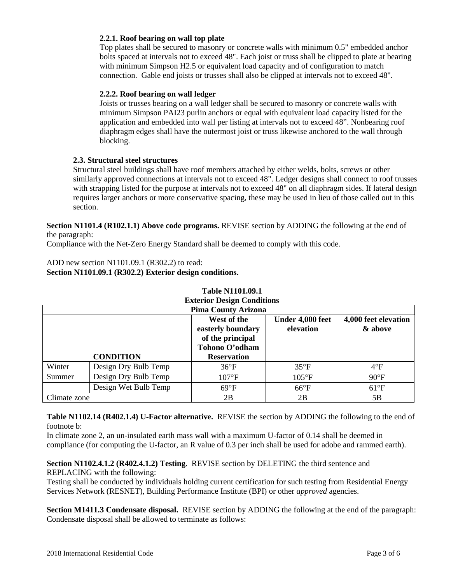### **2.2.1. Roof bearing on wall top plate**

Top plates shall be secured to masonry or concrete walls with minimum 0.5" embedded anchor bolts spaced at intervals not to exceed 48". Each joist or truss shall be clipped to plate at bearing with minimum Simpson H2.5 or equivalent load capacity and of configuration to match connection. Gable end joists or trusses shall also be clipped at intervals not to exceed 48".

### **2.2.2. Roof bearing on wall ledger**

Joists or trusses bearing on a wall ledger shall be secured to masonry or concrete walls with minimum Simpson PAI23 purlin anchors or equal with equivalent load capacity listed for the application and embedded into wall per listing at intervals not to exceed 48". Nonbearing roof diaphragm edges shall have the outermost joist or truss likewise anchored to the wall through blocking.

### **2.3. Structural steel structures**

Structural steel buildings shall have roof members attached by either welds, bolts, screws or other similarly approved connections at intervals not to exceed 48". Ledger designs shall connect to roof trusses with strapping listed for the purpose at intervals not to exceed 48" on all diaphragm sides. If lateral design requires larger anchors or more conservative spacing, these may be used in lieu of those called out in this section.

**Section N1101.4 (R102.1.1) Above code programs.** REVISE section by ADDING the following at the end of the paragraph:

Compliance with the Net-Zero Energy Standard shall be deemed to comply with this code.

ADD new section N1101.09.1 (R302.2) to read: **Section N1101.09.1 (R302.2) Exterior design conditions.**

| <b>Pima County Arizona</b> |                      |                                                                        |                               |                                 |
|----------------------------|----------------------|------------------------------------------------------------------------|-------------------------------|---------------------------------|
|                            |                      | West of the<br>easterly boundary<br>of the principal<br>Tohono O'odham | Under 4,000 feet<br>elevation | 4,000 feet elevation<br>& above |
|                            | <b>CONDITION</b>     | <b>Reservation</b>                                                     |                               |                                 |
| Winter                     | Design Dry Bulb Temp | $36^{\circ}F$                                                          | $35^{\circ}F$                 | $4^{\circ}F$                    |
| Summer                     | Design Dry Bulb Temp | $107$ °F                                                               | $105^{\circ}F$                | $90^{\circ}$ F                  |
|                            | Design Wet Bulb Temp | $69^{\circ}F$                                                          | $66^{\circ}F$                 | $61^{\circ}F$                   |
| Climate zone               |                      | 2B                                                                     | 2B                            | 5B                              |

## **Table N1101.09.1 Exterior Design Conditions**

**Table N1102.14 (R402.1.4) U-Factor alternative.** REVISE the section by ADDING the following to the end of footnote b:

In climate zone 2, an un-insulated earth mass wall with a maximum U-factor of 0.14 shall be deemed in compliance (for computing the U-factor, an R value of 0.3 per inch shall be used for adobe and rammed earth).

**Section N1102.4.1.2 (R402.4.1.2) Testing**. REVISE section by DELETING the third sentence and REPLACING with the following:

Testing shall be conducted by individuals holding current certification for such testing from Residential Energy Services Network (RESNET), Building Performance Institute (BPI) or other *approved* agencies.

**Section M1411.3 Condensate disposal.** REVISE section by ADDING the following at the end of the paragraph: Condensate disposal shall be allowed to terminate as follows: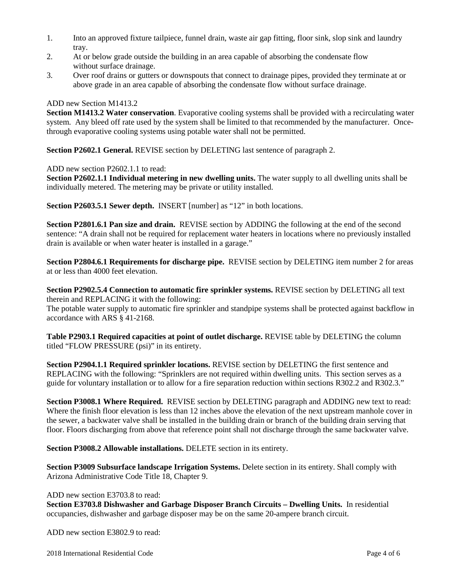- 1. Into an approved fixture tailpiece, funnel drain, waste air gap fitting, floor sink, slop sink and laundry tray.
- 2. At or below grade outside the building in an area capable of absorbing the condensate flow without surface drainage.
- 3. Over roof drains or gutters or downspouts that connect to drainage pipes, provided they terminate at or above grade in an area capable of absorbing the condensate flow without surface drainage.

### ADD new Section M1413.2

**Section M1413.2 Water conservation**. Evaporative cooling systems shall be provided with a recirculating water system. Any bleed off rate used by the system shall be limited to that recommended by the manufacturer. Oncethrough evaporative cooling systems using potable water shall not be permitted.

**Section P2602.1 General.** REVISE section by DELETING last sentence of paragraph 2.

ADD new section P2602.1.1 to read:

**Section P2602.1.1 Individual metering in new dwelling units.** The water supply to all dwelling units shall be individually metered. The metering may be private or utility installed.

**Section P2603.5.1 Sewer depth.** INSERT [number] as "12" in both locations.

**Section P2801.6.1 Pan size and drain.** REVISE section by ADDING the following at the end of the second sentence: "A drain shall not be required for replacement water heaters in locations where no previously installed drain is available or when water heater is installed in a garage."

**Section P2804.6.1 Requirements for discharge pipe.** REVISE section by DELETING item number 2 for areas at or less than 4000 feet elevation.

**Section P2902.5.4 Connection to automatic fire sprinkler systems.** REVISE section by DELETING all text therein and REPLACING it with the following:

The potable water supply to automatic fire sprinkler and standpipe systems shall be protected against backflow in accordance with ARS § 41-2168.

**Table P2903.1 Required capacities at point of outlet discharge.** REVISE table by DELETING the column titled "FLOW PRESSURE (psi)" in its entirety.

**Section P2904.1.1 Required sprinkler locations.** REVISE section by DELETING the first sentence and REPLACING with the following: "Sprinklers are not required within dwelling units. This section serves as a guide for voluntary installation or to allow for a fire separation reduction within sections R302.2 and R302.3."

**Section P3008.1 Where Required.** REVISE section by DELETING paragraph and ADDING new text to read: Where the finish floor elevation is less than 12 inches above the elevation of the next upstream manhole cover in the sewer, a backwater valve shall be installed in the building drain or branch of the building drain serving that floor. Floors discharging from above that reference point shall not discharge through the same backwater valve.

**Section P3008.2 Allowable installations.** DELETE section in its entirety.

**Section P3009 Subsurface landscape Irrigation Systems.** Delete section in its entirety. Shall comply with Arizona Administrative Code Title 18, Chapter 9.

#### ADD new section E3703.8 to read:

**Section E3703.8 Dishwasher and Garbage Disposer Branch Circuits – Dwelling Units.** In residential occupancies, dishwasher and garbage disposer may be on the same 20-ampere branch circuit.

ADD new section E3802.9 to read: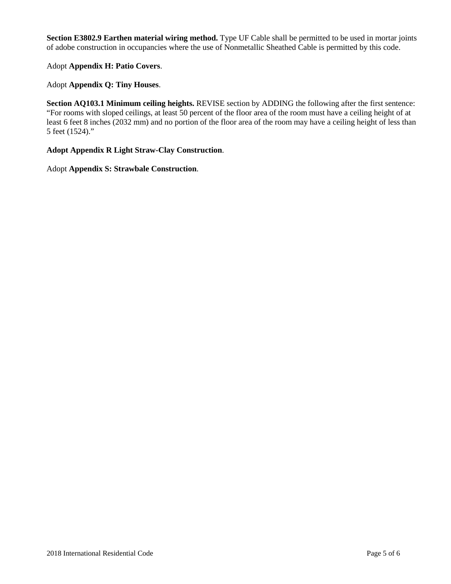**Section E3802.9 Earthen material wiring method.** Type UF Cable shall be permitted to be used in mortar joints of adobe construction in occupancies where the use of Nonmetallic Sheathed Cable is permitted by this code.

Adopt **Appendix H: Patio Covers**.

Adopt **Appendix Q: Tiny Houses**.

**Section AQ103.1 Minimum ceiling heights.** REVISE section by ADDING the following after the first sentence: "For rooms with sloped ceilings, at least 50 percent of the floor area of the room must have a ceiling height of at least 6 feet 8 inches (2032 mm) and no portion of the floor area of the room may have a ceiling height of less than 5 feet (1524)."

**Adopt Appendix R Light Straw-Clay Construction**.

Adopt **Appendix S: Strawbale Construction**.